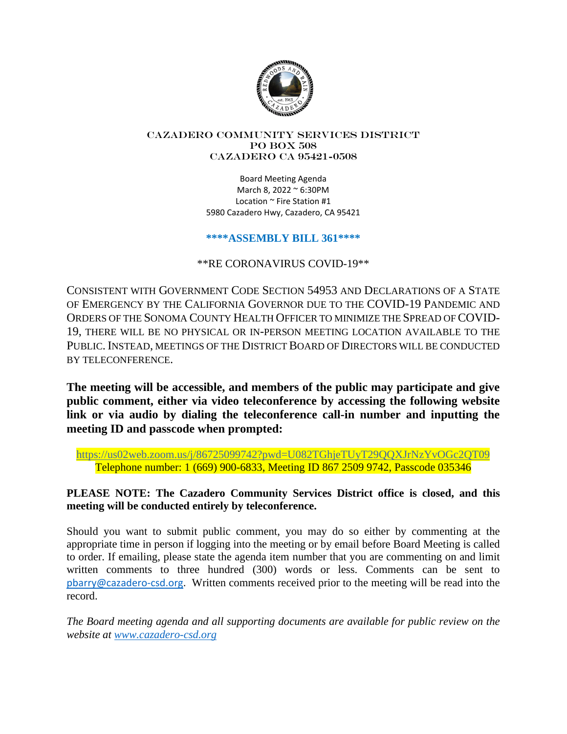

#### Cazadero Community Services District PO Box 508 CAZADERO CA 95421-0508

Board Meeting Agenda March 8, 2022 ~ 6:30PM Location ~ Fire Station #1 5980 Cazadero Hwy, Cazadero, CA 95421

## **\*\*\*\*ASSEMBLY BILL 361\*\*\*\***

\*\*RE CORONAVIRUS COVID-19\*\*

CONSISTENT WITH GOVERNMENT CODE SECTION 54953 AND DECLARATIONS OF A STATE OF EMERGENCY BY THE CALIFORNIA GOVERNOR DUE TO THE COVID-19 PANDEMIC AND ORDERS OF THE SONOMA COUNTY HEALTH OFFICER TO MINIMIZE THE SPREAD OF COVID-19, THERE WILL BE NO PHYSICAL OR IN-PERSON MEETING LOCATION AVAILABLE TO THE PUBLIC. INSTEAD, MEETINGS OF THE DISTRICT BOARD OF DIRECTORS WILL BE CONDUCTED BY TELECONFERENCE.

**The meeting will be accessible, and members of the public may participate and give public comment, either via video teleconference by accessing the following website link or via audio by dialing the teleconference call-in number and inputting the meeting ID and passcode when prompted:**

https://us02web.zoom.us/j/86725099742?pwd=U082TGhjeTUyT29QQXJrNzYvOGc2QT09 Telephone number: 1 (669) 900-6833, Meeting ID 867 2509 9742, Passcode 035346

## **PLEASE NOTE: The Cazadero Community Services District office is closed, and this meeting will be conducted entirely by teleconference.**

Should you want to submit public comment, you may do so either by commenting at the appropriate time in person if logging into the meeting or by email before Board Meeting is called to order. If emailing, please state the agenda item number that you are commenting on and limit written comments to three hundred (300) words or less. Comments can be sent to pbarry@cazadero-csd.org. Written comments received prior to the meeting will be read into the record.

*The Board meeting agenda and all supporting documents are available for public review on the website at www.cazadero-csd.org*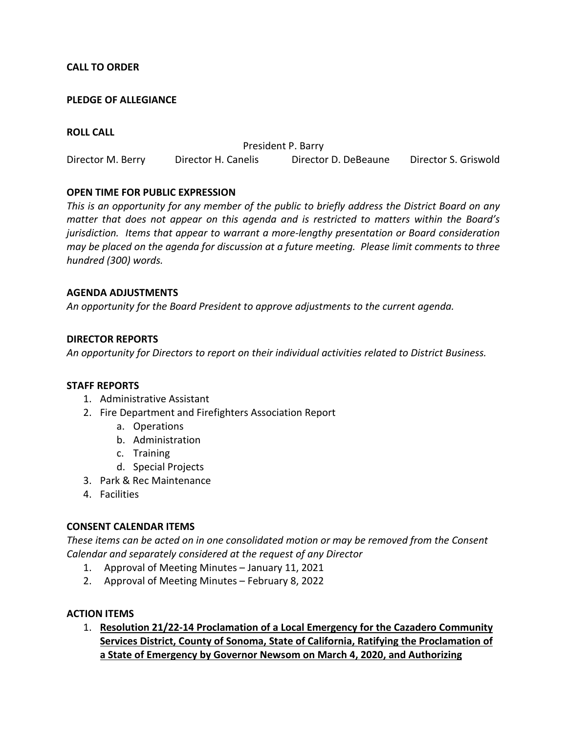## **CALL TO ORDER**

## **PLEDGE OF ALLEGIANCE**

### **ROLL CALL**

President P. Barry Director M. Berry Director H. Canelis Director D. DeBeaune Director S. Griswold

### **OPEN TIME FOR PUBLIC EXPRESSION**

*This is an opportunity for any member of the public to briefly address the District Board on any matter that does not appear on this agenda and is restricted to matters within the Board's jurisdiction. Items that appear to warrant a more-lengthy presentation or Board consideration may be placed on the agenda for discussion at a future meeting. Please limit comments to three hundred (300) words.* 

### **AGENDA ADJUSTMENTS**

*An opportunity for the Board President to approve adjustments to the current agenda.* 

### **DIRECTOR REPORTS**

*An opportunity for Directors to report on their individual activities related to District Business.* 

#### **STAFF REPORTS**

- 1. Administrative Assistant
- 2. Fire Department and Firefighters Association Report
	- a. Operations
	- b. Administration
	- c. Training
	- d. Special Projects
- 3. Park & Rec Maintenance
- 4. Facilities

#### **CONSENT CALENDAR ITEMS**

*These items can be acted on in one consolidated motion or may be removed from the Consent Calendar and separately considered at the request of any Director* 

- 1. Approval of Meeting Minutes January 11, 2021
- 2. Approval of Meeting Minutes February 8, 2022

#### **ACTION ITEMS**

1. **Resolution 21/22-14 Proclamation of a Local Emergency for the Cazadero Community Services District, County of Sonoma, State of California, Ratifying the Proclamation of a State of Emergency by Governor Newsom on March 4, 2020, and Authorizing**